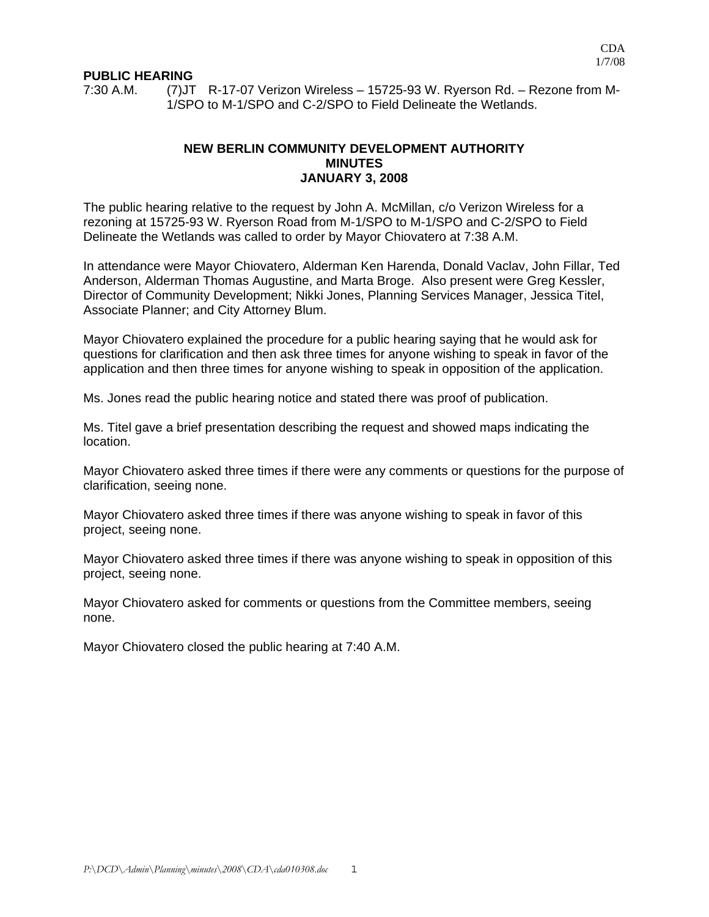### **PUBLIC HEARING**

7:30 A.M. (7)JT R-17-07 Verizon Wireless – 15725-93 W. Ryerson Rd. – Rezone from M-1/SPO to M-1/SPO and C-2/SPO to Field Delineate the Wetlands.

### **NEW BERLIN COMMUNITY DEVELOPMENT AUTHORITY MINUTES JANUARY 3, 2008**

The public hearing relative to the request by John A. McMillan, c/o Verizon Wireless for a rezoning at 15725-93 W. Ryerson Road from M-1/SPO to M-1/SPO and C-2/SPO to Field Delineate the Wetlands was called to order by Mayor Chiovatero at 7:38 A.M.

In attendance were Mayor Chiovatero, Alderman Ken Harenda, Donald Vaclav, John Fillar, Ted Anderson, Alderman Thomas Augustine, and Marta Broge. Also present were Greg Kessler, Director of Community Development; Nikki Jones, Planning Services Manager, Jessica Titel, Associate Planner; and City Attorney Blum.

Mayor Chiovatero explained the procedure for a public hearing saying that he would ask for questions for clarification and then ask three times for anyone wishing to speak in favor of the application and then three times for anyone wishing to speak in opposition of the application.

Ms. Jones read the public hearing notice and stated there was proof of publication.

Ms. Titel gave a brief presentation describing the request and showed maps indicating the location.

Mayor Chiovatero asked three times if there were any comments or questions for the purpose of clarification, seeing none.

Mayor Chiovatero asked three times if there was anyone wishing to speak in favor of this project, seeing none.

Mayor Chiovatero asked three times if there was anyone wishing to speak in opposition of this project, seeing none.

Mayor Chiovatero asked for comments or questions from the Committee members, seeing none.

Mayor Chiovatero closed the public hearing at 7:40 A.M.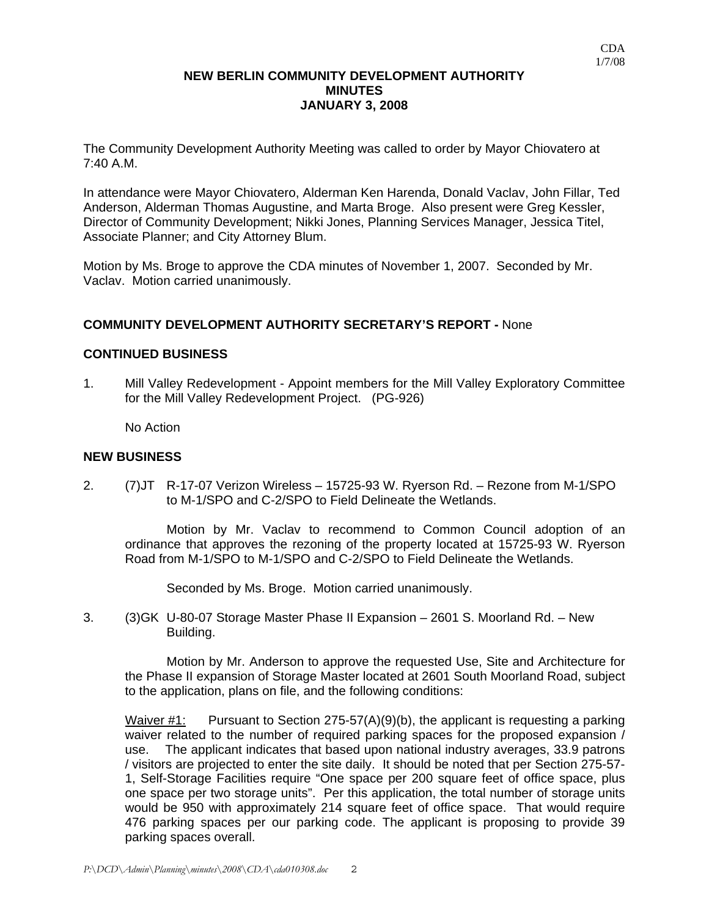## **NEW BERLIN COMMUNITY DEVELOPMENT AUTHORITY MINUTES JANUARY 3, 2008**

The Community Development Authority Meeting was called to order by Mayor Chiovatero at 7:40 A.M.

In attendance were Mayor Chiovatero, Alderman Ken Harenda, Donald Vaclav, John Fillar, Ted Anderson, Alderman Thomas Augustine, and Marta Broge. Also present were Greg Kessler, Director of Community Development; Nikki Jones, Planning Services Manager, Jessica Titel, Associate Planner; and City Attorney Blum.

Motion by Ms. Broge to approve the CDA minutes of November 1, 2007. Seconded by Mr. Vaclav. Motion carried unanimously.

## **COMMUNITY DEVELOPMENT AUTHORITY SECRETARY'S REPORT -** None

### **CONTINUED BUSINESS**

1. Mill Valley Redevelopment - Appoint members for the Mill Valley Exploratory Committee for the Mill Valley Redevelopment Project. (PG-926)

No Action

#### **NEW BUSINESS**

2. (7)JT R-17-07 Verizon Wireless – 15725-93 W. Ryerson Rd. – Rezone from M-1/SPO to M-1/SPO and C-2/SPO to Field Delineate the Wetlands.

 Motion by Mr. Vaclav to recommend to Common Council adoption of an ordinance that approves the rezoning of the property located at 15725-93 W. Ryerson Road from M-1/SPO to M-1/SPO and C-2/SPO to Field Delineate the Wetlands.

Seconded by Ms. Broge. Motion carried unanimously.

3. (3)GK U-80-07 Storage Master Phase II Expansion – 2601 S. Moorland Rd. – New Building.

 Motion by Mr. Anderson to approve the requested Use, Site and Architecture for the Phase II expansion of Storage Master located at 2601 South Moorland Road, subject to the application, plans on file, and the following conditions:

Waiver  $\#1$ : Pursuant to Section 275-57(A)(9)(b), the applicant is requesting a parking waiver related to the number of required parking spaces for the proposed expansion / use. The applicant indicates that based upon national industry averages, 33.9 patrons / visitors are projected to enter the site daily. It should be noted that per Section 275-57- 1, Self-Storage Facilities require "One space per 200 square feet of office space, plus one space per two storage units". Per this application, the total number of storage units would be 950 with approximately 214 square feet of office space. That would require 476 parking spaces per our parking code. The applicant is proposing to provide 39 parking spaces overall.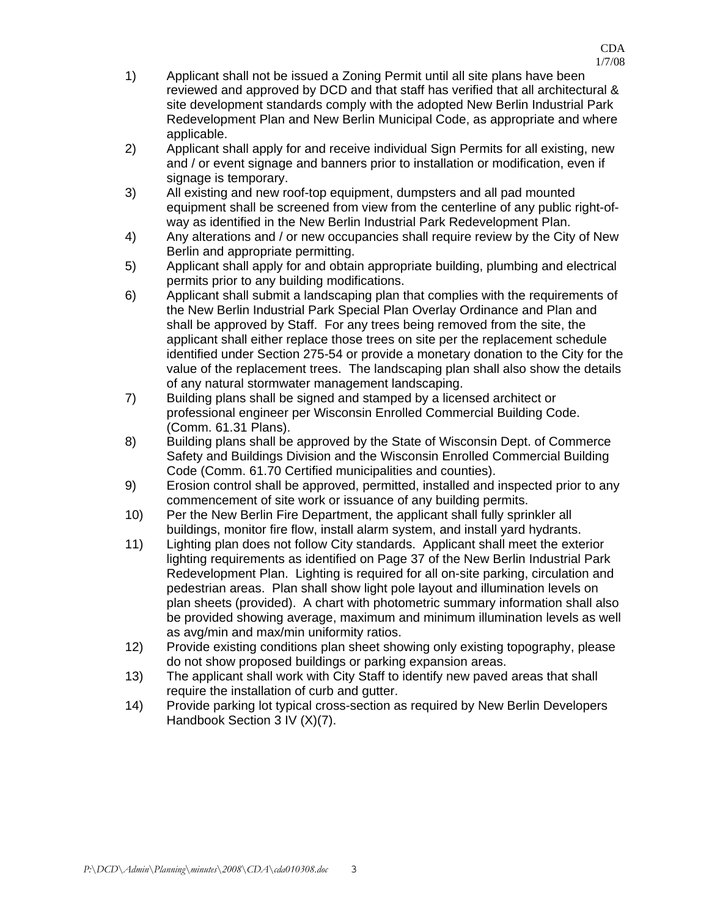- 1) Applicant shall not be issued a Zoning Permit until all site plans have been reviewed and approved by DCD and that staff has verified that all architectural & site development standards comply with the adopted New Berlin Industrial Park Redevelopment Plan and New Berlin Municipal Code, as appropriate and where applicable.
- 2) Applicant shall apply for and receive individual Sign Permits for all existing, new and / or event signage and banners prior to installation or modification, even if signage is temporary.
- 3) All existing and new roof-top equipment, dumpsters and all pad mounted equipment shall be screened from view from the centerline of any public right-ofway as identified in the New Berlin Industrial Park Redevelopment Plan.
- 4) Any alterations and / or new occupancies shall require review by the City of New Berlin and appropriate permitting.
- 5) Applicant shall apply for and obtain appropriate building, plumbing and electrical permits prior to any building modifications.
- 6) Applicant shall submit a landscaping plan that complies with the requirements of the New Berlin Industrial Park Special Plan Overlay Ordinance and Plan and shall be approved by Staff. For any trees being removed from the site, the applicant shall either replace those trees on site per the replacement schedule identified under Section 275-54 or provide a monetary donation to the City for the value of the replacement trees. The landscaping plan shall also show the details of any natural stormwater management landscaping.
- 7) Building plans shall be signed and stamped by a licensed architect or professional engineer per Wisconsin Enrolled Commercial Building Code. (Comm. 61.31 Plans).
- 8) Building plans shall be approved by the State of Wisconsin Dept. of Commerce Safety and Buildings Division and the Wisconsin Enrolled Commercial Building Code (Comm. 61.70 Certified municipalities and counties).
- 9) Erosion control shall be approved, permitted, installed and inspected prior to any commencement of site work or issuance of any building permits.
- 10) Per the New Berlin Fire Department, the applicant shall fully sprinkler all buildings, monitor fire flow, install alarm system, and install yard hydrants.
- 11) Lighting plan does not follow City standards. Applicant shall meet the exterior lighting requirements as identified on Page 37 of the New Berlin Industrial Park Redevelopment Plan. Lighting is required for all on-site parking, circulation and pedestrian areas. Plan shall show light pole layout and illumination levels on plan sheets (provided). A chart with photometric summary information shall also be provided showing average, maximum and minimum illumination levels as well as avg/min and max/min uniformity ratios.
- 12) Provide existing conditions plan sheet showing only existing topography, please do not show proposed buildings or parking expansion areas.
- 13) The applicant shall work with City Staff to identify new paved areas that shall require the installation of curb and gutter.
- 14) Provide parking lot typical cross-section as required by New Berlin Developers Handbook Section 3 IV (X)(7).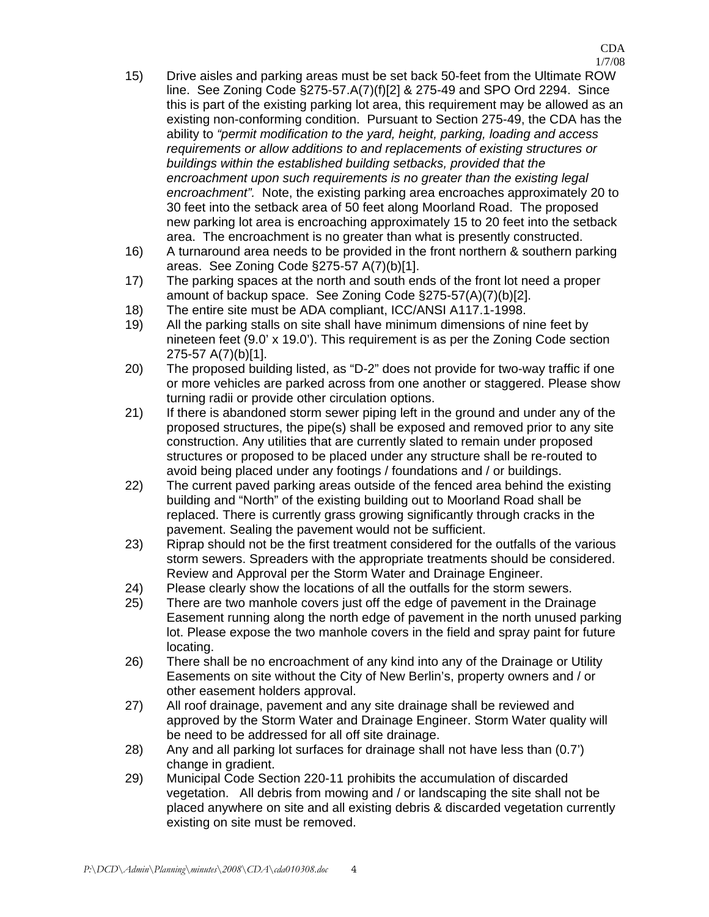- 15) Drive aisles and parking areas must be set back 50-feet from the Ultimate ROW line. See Zoning Code §275-57.A(7)(f)[2] & 275-49 and SPO Ord 2294. Since this is part of the existing parking lot area, this requirement may be allowed as an existing non-conforming condition. Pursuant to Section 275-49, the CDA has the ability to *"permit modification to the yard, height, parking, loading and access requirements or allow additions to and replacements of existing structures or buildings within the established building setbacks, provided that the encroachment upon such requirements is no greater than the existing legal encroachment".* Note, the existing parking area encroaches approximately 20 to 30 feet into the setback area of 50 feet along Moorland Road. The proposed new parking lot area is encroaching approximately 15 to 20 feet into the setback area. The encroachment is no greater than what is presently constructed.
- 16) A turnaround area needs to be provided in the front northern & southern parking areas. See Zoning Code §275-57 A(7)(b)[1].
- 17) The parking spaces at the north and south ends of the front lot need a proper amount of backup space. See Zoning Code §275-57(A)(7)(b)[2].
- 18) The entire site must be ADA compliant, ICC/ANSI A117.1-1998.
- 19) All the parking stalls on site shall have minimum dimensions of nine feet by nineteen feet (9.0' x 19.0'). This requirement is as per the Zoning Code section 275-57 A(7)(b)[1].
- 20) The proposed building listed, as "D-2" does not provide for two-way traffic if one or more vehicles are parked across from one another or staggered. Please show turning radii or provide other circulation options.
- 21) If there is abandoned storm sewer piping left in the ground and under any of the proposed structures, the pipe(s) shall be exposed and removed prior to any site construction. Any utilities that are currently slated to remain under proposed structures or proposed to be placed under any structure shall be re-routed to avoid being placed under any footings / foundations and / or buildings.
- 22) The current paved parking areas outside of the fenced area behind the existing building and "North" of the existing building out to Moorland Road shall be replaced. There is currently grass growing significantly through cracks in the pavement. Sealing the pavement would not be sufficient.
- 23) Riprap should not be the first treatment considered for the outfalls of the various storm sewers. Spreaders with the appropriate treatments should be considered. Review and Approval per the Storm Water and Drainage Engineer.
- 24) Please clearly show the locations of all the outfalls for the storm sewers.
- 25) There are two manhole covers just off the edge of pavement in the Drainage Easement running along the north edge of pavement in the north unused parking lot. Please expose the two manhole covers in the field and spray paint for future locating.
- 26) There shall be no encroachment of any kind into any of the Drainage or Utility Easements on site without the City of New Berlin's, property owners and / or other easement holders approval.
- 27) All roof drainage, pavement and any site drainage shall be reviewed and approved by the Storm Water and Drainage Engineer. Storm Water quality will be need to be addressed for all off site drainage.
- 28) Any and all parking lot surfaces for drainage shall not have less than (0.7') change in gradient.
- 29) Municipal Code Section 220-11 prohibits the accumulation of discarded vegetation. All debris from mowing and / or landscaping the site shall not be placed anywhere on site and all existing debris & discarded vegetation currently existing on site must be removed.